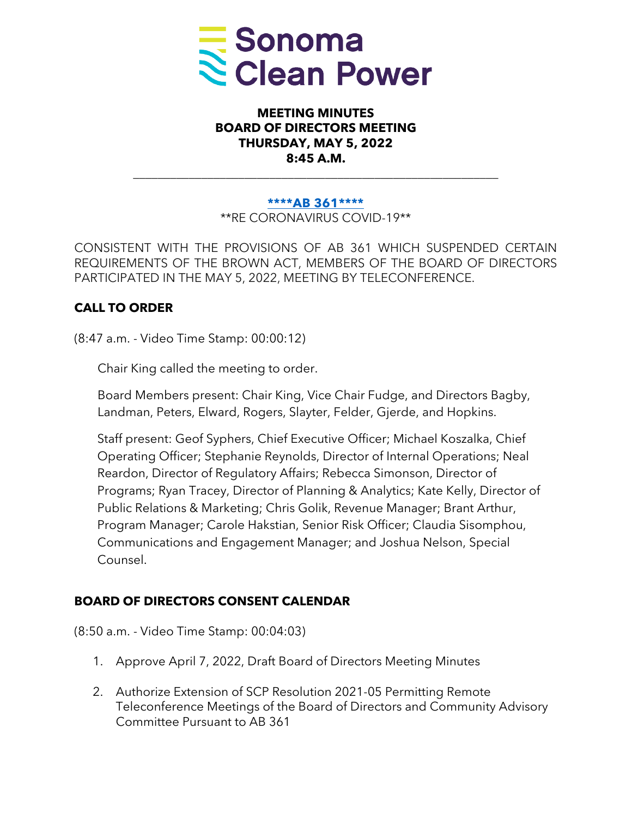

### **MEETING MINUTES BOARD OF DIRECTORS MEETING THURSDAY, MAY 5, 2022 8:45 A.M.**

#### **[\\*\\*\\*\\*AB 361\\*\\*\\*\\*](https://leginfo.legislature.ca.gov/faces/billTextClient.xhtml?bill_id=202120220AB361)**

\_\_\_\_\_\_\_\_\_\_\_\_\_\_\_\_\_\_\_\_\_\_\_\_\_\_\_\_\_\_\_\_\_\_\_\_\_\_\_\_\_\_\_\_\_\_\_\_\_\_\_\_\_\_\_\_\_\_\_

\*\*RE CORONAVIRUS COVID-19\*\*

CONSISTENT WITH THE PROVISIONS OF AB 361 WHICH SUSPENDED CERTAIN REQUIREMENTS OF THE BROWN ACT, MEMBERS OF THE BOARD OF DIRECTORS PARTICIPATED IN THE MAY 5, 2022, MEETING BY TELECONFERENCE.

### **CALL TO ORDER**

(8:47 a.m. - Video Time Stamp: 00:00:12)

Chair King called the meeting to order.

Board Members present: Chair King, Vice Chair Fudge, and Directors Bagby, Landman, Peters, Elward, Rogers, Slayter, Felder, Gjerde, and Hopkins.

Staff present: Geof Syphers, Chief Executive Officer; Michael Koszalka, Chief Operating Officer; Stephanie Reynolds, Director of Internal Operations; Neal Reardon, Director of Regulatory Affairs; Rebecca Simonson, Director of Programs; Ryan Tracey, Director of Planning & Analytics; Kate Kelly, Director of Public Relations & Marketing; Chris Golik, Revenue Manager; Brant Arthur, Program Manager; Carole Hakstian, Senior Risk Officer; Claudia Sisomphou, Communications and Engagement Manager; and Joshua Nelson, Special Counsel.

### **BOARD OF DIRECTORS CONSENT CALENDAR**

(8:50 a.m. - Video Time Stamp: 00:04:03)

- 1. Approve April 7, 2022, Draft Board of Directors Meeting Minutes
- 2. Authorize Extension of SCP Resolution 2021-05 Permitting Remote Teleconference Meetings of the Board of Directors and Community Advisory Committee Pursuant to AB 361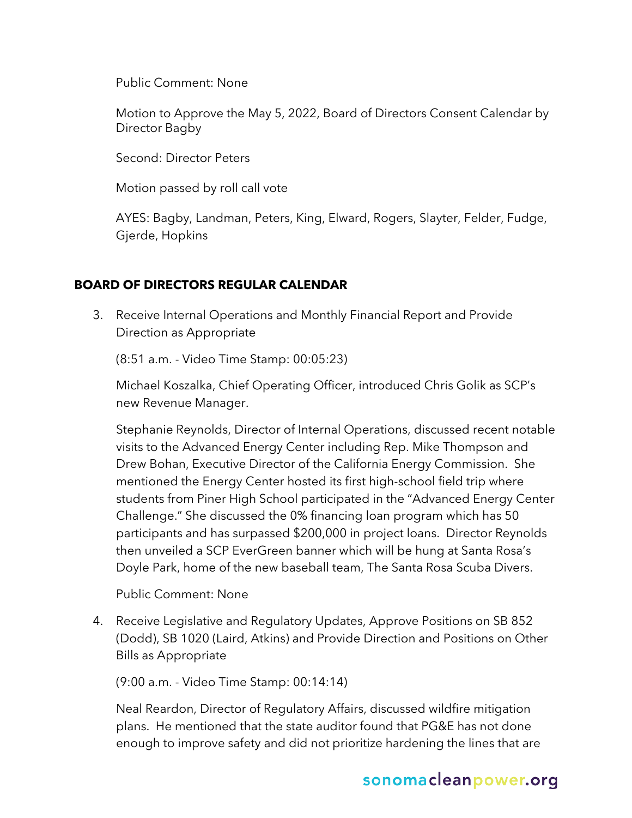Public Comment: None

Motion to Approve the May 5, 2022, Board of Directors Consent Calendar by Director Bagby

Second: Director Peters

Motion passed by roll call vote

AYES: Bagby, Landman, Peters, King, Elward, Rogers, Slayter, Felder, Fudge, Gjerde, Hopkins

### **BOARD OF DIRECTORS REGULAR CALENDAR**

3. Receive Internal Operations and Monthly Financial Report and Provide Direction as Appropriate

(8:51 a.m. - Video Time Stamp: 00:05:23)

Michael Koszalka, Chief Operating Officer, introduced Chris Golik as SCP's new Revenue Manager.

Stephanie Reynolds, Director of Internal Operations, discussed recent notable visits to the Advanced Energy Center including Rep. Mike Thompson and Drew Bohan, Executive Director of the California Energy Commission. She mentioned the Energy Center hosted its first high-school field trip where students from Piner High School participated in the "Advanced Energy Center Challenge." She discussed the 0% financing loan program which has 50 participants and has surpassed \$200,000 in project loans. Director Reynolds then unveiled a SCP EverGreen banner which will be hung at Santa Rosa's Doyle Park, home of the new baseball team, The Santa Rosa Scuba Divers.

Public Comment: None

4. Receive Legislative and Regulatory Updates, Approve Positions on SB 852 (Dodd), SB 1020 (Laird, Atkins) and Provide Direction and Positions on Other Bills as Appropriate

(9:00 a.m. - Video Time Stamp: 00:14:14)

Neal Reardon, Director of Regulatory Affairs, discussed wildfire mitigation plans. He mentioned that the state auditor found that PG&E has not done enough to improve safety and did not prioritize hardening the lines that are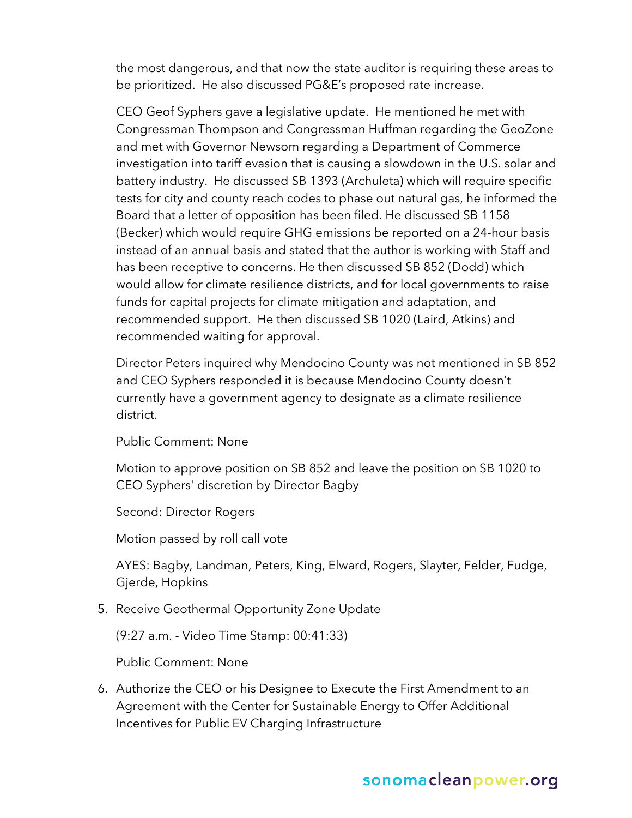the most dangerous, and that now the state auditor is requiring these areas to be prioritized. He also discussed PG&E's proposed rate increase.

CEO Geof Syphers gave a legislative update. He mentioned he met with Congressman Thompson and Congressman Huffman regarding the GeoZone and met with Governor Newsom regarding a Department of Commerce investigation into tariff evasion that is causing a slowdown in the U.S. solar and battery industry. He discussed SB 1393 (Archuleta) which will require specific tests for city and county reach codes to phase out natural gas, he informed the Board that a letter of opposition has been filed. He discussed SB 1158 (Becker) which would require GHG emissions be reported on a 24-hour basis instead of an annual basis and stated that the author is working with Staff and has been receptive to concerns. He then discussed SB 852 (Dodd) which would allow for climate resilience districts, and for local governments to raise funds for capital projects for climate mitigation and adaptation, and recommended support. He then discussed SB 1020 (Laird, Atkins) and recommended waiting for approval.

Director Peters inquired why Mendocino County was not mentioned in SB 852 and CEO Syphers responded it is because Mendocino County doesn't currently have a government agency to designate as a climate resilience district.

Public Comment: None

Motion to approve position on SB 852 and leave the position on SB 1020 to CEO Syphers' discretion by Director Bagby

Second: Director Rogers

Motion passed by roll call vote

AYES: Bagby, Landman, Peters, King, Elward, Rogers, Slayter, Felder, Fudge, Gjerde, Hopkins

5. Receive Geothermal Opportunity Zone Update

(9:27 a.m. - Video Time Stamp: 00:41:33)

Public Comment: None

6. Authorize the CEO or his Designee to Execute the First Amendment to an Agreement with the Center for Sustainable Energy to Offer Additional Incentives for Public EV Charging Infrastructure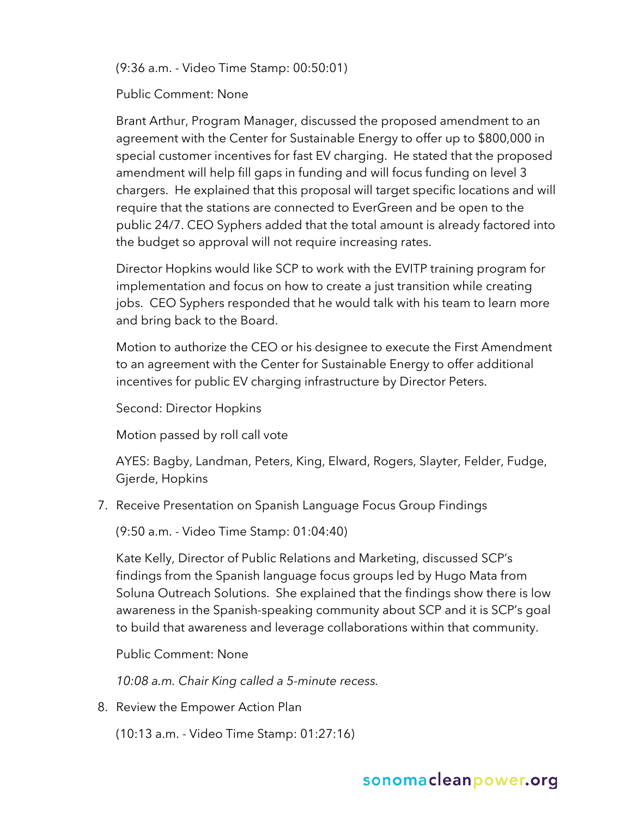(9:36 a.m. - Video Time Stamp: 00:50:01)

Public Comment: None

Brant Arthur, Program Manager, discussed the proposed amendment to an agreement with the Center for Sustainable Energy to offer up to \$800,000 in special customer incentives for fast EV charging. He stated that the proposed amendment will help fill gaps in funding and will focus funding on level 3 chargers. He explained that this proposal will target specific locations and will require that the stations are connected to EverGreen and be open to the public 24/7. CEO Syphers added that the total amount is already factored into the budget so approval will not require increasing rates.

Director Hopkins would like SCP to work with the EVITP training program for implementation and focus on how to create a just transition while creating jobs. CEO Syphers responded that he would talk with his team to learn more and bring back to the Board.

Motion to authorize the CEO or his designee to execute the First Amendment to an agreement with the Center for Sustainable Energy to offer additional incentives for public EV charging infrastructure by Director Peters.

Second: Director Hopkins

Motion passed by roll call vote

AYES: Bagby, Landman, Peters, King, Elward, Rogers, Slayter, Felder, Fudge, Gjerde, Hopkins

7. Receive Presentation on Spanish Language Focus Group Findings

(9:50 a.m. - Video Time Stamp: 01:04:40)

Kate Kelly, Director of Public Relations and Marketing, discussed SCP's findings from the Spanish language focus groups led by Hugo Mata from Soluna Outreach Solutions. She explained that the findings show there is low awareness in the Spanish-speaking community about SCP and it is SCP's goal to build that awareness and leverage collaborations within that community.

Public Comment: None

*10:08 a.m. Chair King called a 5-minute recess.*

8. Review the Empower Action Plan

(10:13 a.m. - Video Time Stamp: 01:27:16)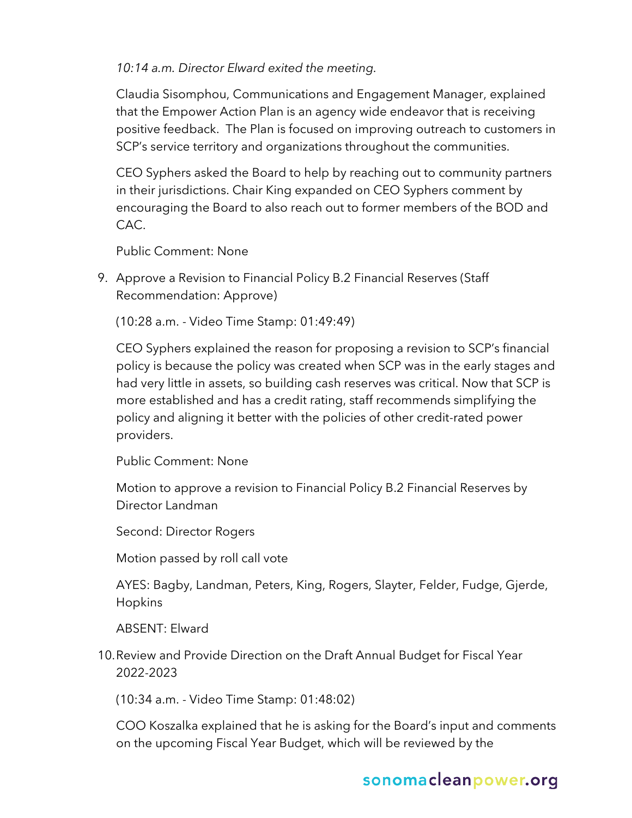*10:14 a.m. Director Elward exited the meeting.*

Claudia Sisomphou, Communications and Engagement Manager, explained that the Empower Action Plan is an agency wide endeavor that is receiving positive feedback. The Plan is focused on improving outreach to customers in SCP's service territory and organizations throughout the communities.

CEO Syphers asked the Board to help by reaching out to community partners in their jurisdictions. Chair King expanded on CEO Syphers comment by encouraging the Board to also reach out to former members of the BOD and CAC.

Public Comment: None

9. Approve a Revision to Financial Policy B.2 Financial Reserves (Staff Recommendation: Approve)

(10:28 a.m. - Video Time Stamp: 01:49:49)

CEO Syphers explained the reason for proposing a revision to SCP's financial policy is because the policy was created when SCP was in the early stages and had very little in assets, so building cash reserves was critical. Now that SCP is more established and has a credit rating, staff recommends simplifying the policy and aligning it better with the policies of other credit-rated power providers.

Public Comment: None

Motion to approve a revision to Financial Policy B.2 Financial Reserves by Director Landman

Second: Director Rogers

Motion passed by roll call vote

AYES: Bagby, Landman, Peters, King, Rogers, Slayter, Felder, Fudge, Gjerde, Hopkins

ABSENT: Elward

10.Review and Provide Direction on the Draft Annual Budget for Fiscal Year 2022-2023

(10:34 a.m. - Video Time Stamp: 01:48:02)

COO Koszalka explained that he is asking for the Board's input and comments on the upcoming Fiscal Year Budget, which will be reviewed by the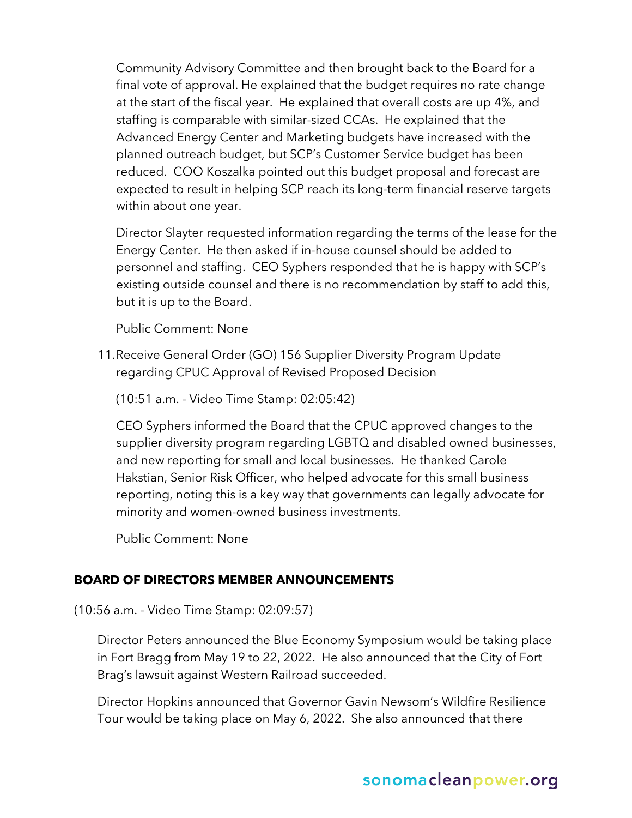Community Advisory Committee and then brought back to the Board for a final vote of approval. He explained that the budget requires no rate change at the start of the fiscal year. He explained that overall costs are up 4%, and staffing is comparable with similar-sized CCAs. He explained that the Advanced Energy Center and Marketing budgets have increased with the planned outreach budget, but SCP's Customer Service budget has been reduced. COO Koszalka pointed out this budget proposal and forecast are expected to result in helping SCP reach its long-term financial reserve targets within about one year.

Director Slayter requested information regarding the terms of the lease for the Energy Center. He then asked if in-house counsel should be added to personnel and staffing. CEO Syphers responded that he is happy with SCP's existing outside counsel and there is no recommendation by staff to add this, but it is up to the Board.

Public Comment: None

11.Receive General Order (GO) 156 Supplier Diversity Program Update regarding CPUC Approval of Revised Proposed Decision

(10:51 a.m. - Video Time Stamp: 02:05:42)

CEO Syphers informed the Board that the CPUC approved changes to the supplier diversity program regarding LGBTQ and disabled owned businesses, and new reporting for small and local businesses. He thanked Carole Hakstian, Senior Risk Officer, who helped advocate for this small business reporting, noting this is a key way that governments can legally advocate for minority and women-owned business investments.

Public Comment: None

### **BOARD OF DIRECTORS MEMBER ANNOUNCEMENTS**

(10:56 a.m. - Video Time Stamp: 02:09:57)

Director Peters announced the Blue Economy Symposium would be taking place in Fort Bragg from May 19 to 22, 2022. He also announced that the City of Fort Brag's lawsuit against Western Railroad succeeded.

Director Hopkins announced that Governor Gavin Newsom's Wildfire Resilience Tour would be taking place on May 6, 2022. She also announced that there